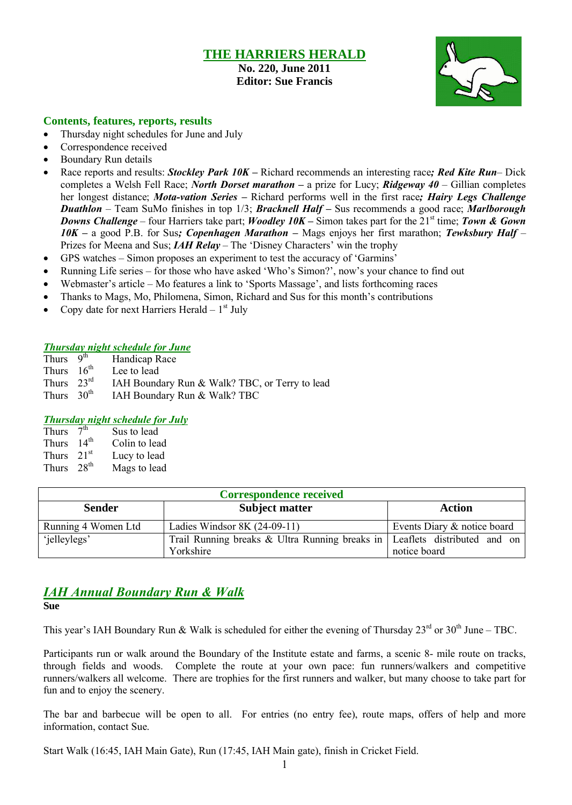# **THE HARRIERS HERALD**

**No. 220, June 2011 Editor: Sue Francis**



#### **Contents, features, reports, results**

- Thursday night schedules for June and July
- Correspondence received
- Boundary Run details
- Race reports and results: *Stockley Park 10K –* Richard recommends an interesting race*; Red Kite Run* Dick completes a Welsh Fell Race; *North Dorset marathon –* a prize for Lucy; *Ridgeway 40* – Gillian completes her longest distance; *Mota-vation Series –* Richard performs well in the first race*; Hairy Legs Challenge Duathlon* – Team SuMo finishes in top 1/3; *Bracknell Half –* Sus recommends a good race; *Marlborough Downs Challenge* – four Harriers take part; *Woodley 10K* – Simon takes part for the 21<sup>st</sup> time; *Town & Gown 10K –* a good P.B. for Sus*; Copenhagen Marathon –* Mags enjoys her first marathon; *Tewksbury Half* – Prizes for Meena and Sus; *IAH Relay* – The 'Disney Characters' win the trophy
- GPS watches Simon proposes an experiment to test the accuracy of 'Garmins'
- Running Life series for those who have asked 'Who's Simon?', now's your chance to find out
- Webmaster's article Mo features a link to 'Sports Massage', and lists forthcoming races
- Thanks to Mags, Mo, Philomena, Simon, Richard and Sus for this month's contributions
- Copy date for next Harriers Herald  $-1<sup>st</sup>$  July

#### *Thursday night schedule for June*

| Thurs $9th$            | Handicap Race                                  |
|------------------------|------------------------------------------------|
| Thurs $16th$           | Lee to lead                                    |
| Thurs $23^{\text{rd}}$ | IAH Boundary Run & Walk? TBC, or Terry to lead |
| Thurs $30th$           | IAH Boundary Run & Walk? TBC                   |

#### *Thursday night schedule for July*

| <b>Thurs</b> | $\bar{7}$ <sup>th</sup> | Sus to lead   |
|--------------|-------------------------|---------------|
| <b>Thurs</b> | $14^{\text{th}}$        | Colin to lead |
| Thurs        | 21 <sup>st</sup>        | Lucy to lead  |
| <b>Thurs</b> | $28^{th}$               | Mags to lead  |

| <b>Correspondence received</b> |                                                                              |                             |  |  |  |
|--------------------------------|------------------------------------------------------------------------------|-----------------------------|--|--|--|
| <b>Sender</b>                  | <b>Subject matter</b>                                                        | <b>Action</b>               |  |  |  |
| Running 4 Women Ltd            | Ladies Windsor $8K(24-09-11)$                                                | Events Diary & notice board |  |  |  |
| 'jelleylegs'                   | Trail Running breaks & Ultra Running breaks in   Leaflets distributed and on |                             |  |  |  |
|                                | Yorkshire                                                                    | notice board                |  |  |  |

# *IAH Annual Boundary Run & Walk*

**Sue**

This year's IAH Boundary Run & Walk is scheduled for either the evening of Thursday  $23^{\text{rd}}$  or  $30^{\text{th}}$  June – TBC.

Participants run or walk around the Boundary of the Institute estate and farms, a scenic 8- mile route on tracks, through fields and woods. Complete the route at your own pace: fun runners/walkers and competitive runners/walkers all welcome. There are trophies for the first runners and walker, but many choose to take part for fun and to enjoy the scenery.

The bar and barbecue will be open to all. For entries (no entry fee), route maps, offers of help and more information, contact Sue.

Start Walk (16:45, IAH Main Gate), Run (17:45, IAH Main gate), finish in Cricket Field.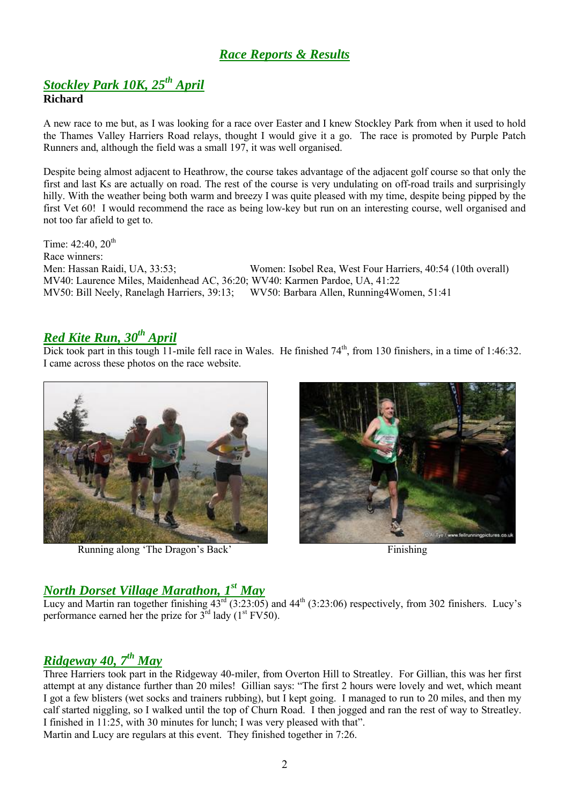# *Race Reports & Results*

## *Stockley Park 10K, 25th April* **Richard**

A new race to me but, as I was looking for a race over Easter and I knew Stockley Park from when it used to hold the Thames Valley Harriers Road relays, thought I would give it a go. The race is promoted by Purple Patch Runners and, although the field was a small 197, it was well organised.

Despite being almost adjacent to Heathrow, the course takes advantage of the adjacent golf course so that only the first and last Ks are actually on road. The rest of the course is very undulating on off-road trails and surprisingly hilly. With the weather being both warm and breezy I was quite pleased with my time, despite being pipped by the first Vet 60! I would recommend the race as being low-key but run on an interesting course, well organised and not too far afield to get to.

Time:  $42:40, 20^{th}$ Race winners: Men: Hassan Raidi, UA, 33:53; Women: Isobel Rea, West Four Harriers, 40:54 (10th overall) MV40: Laurence Miles, Maidenhead AC, 36:20; WV40: Karmen Pardoe, UA, 41:22 MV50: Bill Neely, Ranelagh Harriers, 39:13; WV50: Barbara Allen, Running4Women, 51:41

# *Red Kite Run, 30th April*

Dick took part in this tough  $11$ -mile fell race in Wales. He finished  $74<sup>th</sup>$ , from 130 finishers, in a time of 1:46:32. I came across these photos on the race website.



Running along 'The Dragon's Back' Finishing



# *North Dorset Village Marathon, 1 st May*

Lucy and Martin ran together finishing  $43^{\text{rd}}$  (3:23:05) and  $44^{\text{th}}$  (3:23:06) respectively, from 302 finishers. Lucy's performance earned her the prize for  $3^{rd}$  lady ( $1^{st}$  FV50).

# *Ridgeway 40, 7 th May*

Three Harriers took part in the Ridgeway 40-miler, from Overton Hill to Streatley. For Gillian, this was her first attempt at any distance further than 20 miles! Gillian says: "The first 2 hours were lovely and wet, which meant I got a few blisters (wet socks and trainers rubbing), but I kept going. I managed to run to 20 miles, and then my calf started niggling, so I walked until the top of Churn Road. I then jogged and ran the rest of way to Streatley. I finished in 11:25, with 30 minutes for lunch; I was very pleased with that". Martin and Lucy are regulars at this event. They finished together in 7:26.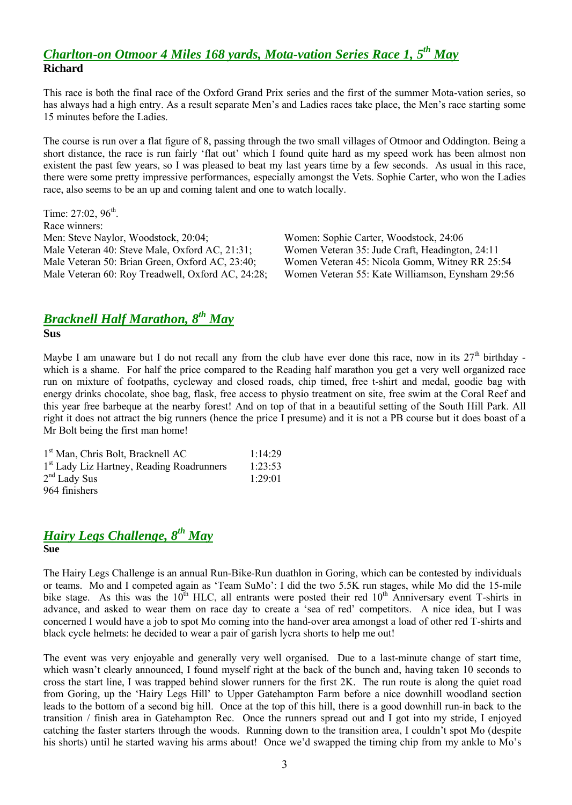# *Charlton-on Otmoor 4 Miles 168 yards, Mota-vation Series Race 1, 5 th May* **Richard**

This race is both the final race of the Oxford Grand Prix series and the first of the summer Mota-vation series, so has always had a high entry. As a result separate Men's and Ladies races take place, the Men's race starting some 15 minutes before the Ladies.

The course is run over a flat figure of 8, passing through the two small villages of Otmoor and Oddington. Being a short distance, the race is run fairly 'flat out' which I found quite hard as my speed work has been almost non existent the past few years, so I was pleased to beat my last years time by a few seconds. As usual in this race, there were some pretty impressive performances, especially amongst the Vets. Sophie Carter, who won the Ladies race, also seems to be an up and coming talent and one to watch locally.

Time:  $27:02, 96^{\text{th}}$ . Race winners: Men: Steve Naylor, Woodstock, 20:04; Women: Sophie Carter, Woodstock, 24:06 Male Veteran 40: Steve Male, Oxford AC, 21:31; Women Veteran 35: Jude Craft, Headington, 24:11 Male Veteran 50: Brian Green, Oxford AC, 23:40; Women Veteran 45: Nicola Gomm, Witney RR 25:54

Male Veteran 60: Roy Treadwell, Oxford AC, 24:28; Women Veteran 55: Kate Williamson, Eynsham 29:56

### *Bracknell Half Marathon, 8 th May* **Sus**

Maybe I am unaware but I do not recall any from the club have ever done this race, now in its  $27<sup>th</sup>$  birthday which is a shame. For half the price compared to the Reading half marathon you get a very well organized race run on mixture of footpaths, cycleway and closed roads, chip timed, free t-shirt and medal, goodie bag with energy drinks chocolate, shoe bag, flask, free access to physio treatment on site, free swim at the Coral Reef and this year free barbeque at the nearby forest! And on top of that in a beautiful setting of the South Hill Park. All right it does not attract the big runners (hence the price I presume) and it is not a PB course but it does boast of a Mr Bolt being the first man home!

| 1 <sup>st</sup> Man, Chris Bolt, Bracknell AC         | 1:14:29         |
|-------------------------------------------------------|-----------------|
| 1 <sup>st</sup> Lady Liz Hartney, Reading Roadrunners | 1:23:53         |
| $2nd$ Lady Sus                                        | $1.29 \cdot 01$ |
| 964 finishers                                         |                 |

### *Hairy Legs Challenge, 8 th May* **Sue**

The Hairy Legs Challenge is an annual Run-Bike-Run duathlon in Goring, which can be contested by individuals or teams. Mo and I competed again as 'Team SuMo': I did the two 5.5K run stages, while Mo did the 15-mile bike stage. As this was the  $10^{th}$  HLC, all entrants were posted their red  $10^{th}$  Anniversary event T-shirts in advance, and asked to wear them on race day to create a 'sea of red' competitors. A nice idea, but I was concerned I would have a job to spot Mo coming into the hand-over area amongst a load of other red T-shirts and black cycle helmets: he decided to wear a pair of garish lycra shorts to help me out!

The event was very enjoyable and generally very well organised. Due to a last-minute change of start time, which wasn't clearly announced, I found myself right at the back of the bunch and, having taken 10 seconds to cross the start line, I was trapped behind slower runners for the first 2K. The run route is along the quiet road from Goring, up the 'Hairy Legs Hill' to Upper Gatehampton Farm before a nice downhill woodland section leads to the bottom of a second big hill. Once at the top of this hill, there is a good downhill run-in back to the transition / finish area in Gatehampton Rec. Once the runners spread out and I got into my stride, I enjoyed catching the faster starters through the woods. Running down to the transition area, I couldn't spot Mo (despite his shorts) until he started waving his arms about! Once we'd swapped the timing chip from my ankle to Mo's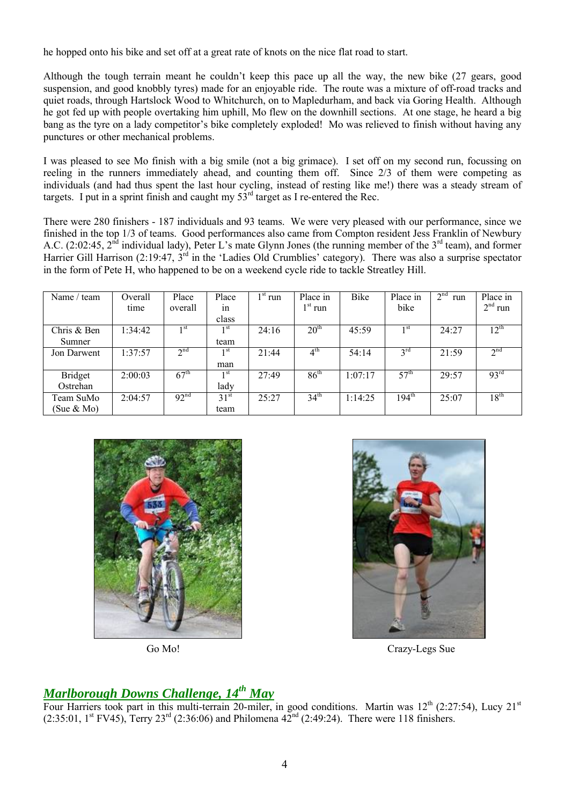he hopped onto his bike and set off at a great rate of knots on the nice flat road to start.

Although the tough terrain meant he couldn't keep this pace up all the way, the new bike (27 gears, good suspension, and good knobbly tyres) made for an enjoyable ride. The route was a mixture of off-road tracks and quiet roads, through Hartslock Wood to Whitchurch, on to Mapledurham, and back via Goring Health. Although he got fed up with people overtaking him uphill, Mo flew on the downhill sections. At one stage, he heard a big bang as the tyre on a lady competitor's bike completely exploded! Mo was relieved to finish without having any punctures or other mechanical problems.

I was pleased to see Mo finish with a big smile (not a big grimace). I set off on my second run, focussing on reeling in the runners immediately ahead, and counting them off. Since 2/3 of them were competing as individuals (and had thus spent the last hour cycling, instead of resting like me!) there was a steady stream of targets. I put in a sprint finish and caught my  $53<sup>rd</sup>$  target as I re-entered the Rec.

There were 280 finishers - 187 individuals and 93 teams. We were very pleased with our performance, since we finished in the top 1/3 of teams. Good performances also came from Compton resident Jess Franklin of Newbury A.C. (2:02:45,  $2^{\overline{nd}}$  individual lady), Peter L's mate Glynn Jones (the running member of the  $3^{\overline{rd}}$  team), and former Harrier Gill Harrison (2:19:47,  $3<sup>rd</sup>$  in the 'Ladies Old Crumblies' category). There was also a surprise spectator in the form of Pete H, who happened to be on a weekend cycle ride to tackle Streatley Hill.

| Name / team    | Overall | Place            | Place           | $1st$ run | Place in         | Bike    | Place in         | 2 <sup>nd</sup><br>run | Place in         |
|----------------|---------|------------------|-----------------|-----------|------------------|---------|------------------|------------------------|------------------|
|                | time    | overall          | 1n              |           | $1st$ run        |         | bike             |                        | $2nd$ run        |
|                |         |                  | class           |           |                  |         |                  |                        |                  |
| Chris & Ben    | 1:34:42 | 1 <sup>st</sup>  | 1 <sup>st</sup> | 24:16     | 20 <sup>th</sup> | 45:59   | 1 <sup>st</sup>  | 24:27                  | $12^{\text{th}}$ |
| Sumner         |         |                  | team            |           |                  |         |                  |                        |                  |
| Jon Darwent    | 1:37:57 | 2 <sup>nd</sup>  | 1 <sup>st</sup> | 21:44     | $4^{\text{th}}$  | 54:14   | $3^{\text{rd}}$  | 21:59                  | 2 <sup>nd</sup>  |
|                |         |                  | man             |           |                  |         |                  |                        |                  |
| <b>Bridget</b> | 2:00:03 | $67^{\text{th}}$ | 1 <sup>st</sup> | 27:49     | $86^{\text{th}}$ | 1:07:17 | 57 <sup>th</sup> | 29:57                  | 93 <sup>rd</sup> |
| Ostrehan       |         |                  | lady            |           |                  |         |                  |                        |                  |
| Team SuMo      | 2:04:57 | 92 <sup>nd</sup> | $31^{st}$       | 25:27     | 34 <sup>th</sup> | 1:14:25 | $194^{th}$       | 25:07                  | $18^{\text{th}}$ |
| (Sue $\&$ Mo)  |         |                  | team            |           |                  |         |                  |                        |                  |





Go Mo! Crazy-Legs Sue

# *Marlborough Downs Challenge, 14 th May*

Four Harriers took part in this multi-terrain 20-miler, in good conditions. Martin was  $12^{th}$  (2:27:54), Lucy  $21^{st}$  $(2:35:01, 1^{\text{st}}$  FV45), Terry  $23^{\text{rd}}$  (2:36:06) and Philomena  $42^{\text{nd}}$  (2:49:24). There were 118 finishers.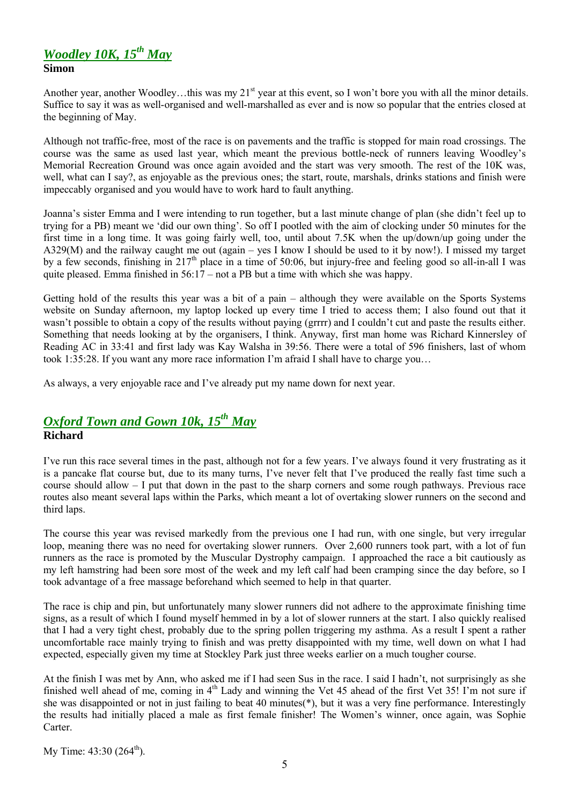# *Woodley 10K, 15th May* **Simon**

Another year, another Woodley…this was my 21<sup>st</sup> year at this event, so I won't bore you with all the minor details. Suffice to say it was as well-organised and well-marshalled as ever and is now so popular that the entries closed at the beginning of May.

Although not traffic-free, most of the race is on pavements and the traffic is stopped for main road crossings. The course was the same as used last year, which meant the previous bottle-neck of runners leaving Woodley's Memorial Recreation Ground was once again avoided and the start was very smooth. The rest of the 10K was, well, what can I say?, as enjoyable as the previous ones; the start, route, marshals, drinks stations and finish were impeccably organised and you would have to work hard to fault anything.

Joanna's sister Emma and I were intending to run together, but a last minute change of plan (she didn't feel up to trying for a PB) meant we 'did our own thing'. So off I pootled with the aim of clocking under 50 minutes for the first time in a long time. It was going fairly well, too, until about 7.5K when the up/down/up going under the A329(M) and the railway caught me out (again – yes I know I should be used to it by now!). I missed my target by a few seconds, finishing in 217<sup>th</sup> place in a time of 50:06, but injury-free and feeling good so all-in-all I was quite pleased. Emma finished in  $56:17$  – not a PB but a time with which she was happy.

Getting hold of the results this year was a bit of a pain – although they were available on the Sports Systems website on Sunday afternoon, my laptop locked up every time I tried to access them; I also found out that it wasn't possible to obtain a copy of the results without paying (grrrr) and I couldn't cut and paste the results either. Something that needs looking at by the organisers, I think. Anyway, first man home was Richard Kinnersley of Reading AC in 33:41 and first lady was Kay Walsha in 39:56. There were a total of 596 finishers, last of whom took 1:35:28. If you want any more race information I'm afraid I shall have to charge you…

As always, a very enjoyable race and I've already put my name down for next year.

# *Oxford Town and Gown 10k, 15th May* **Richard**

I've run this race several times in the past, although not for a few years. I've always found it very frustrating as it is a pancake flat course but, due to its many turns, I've never felt that I've produced the really fast time such a course should allow – I put that down in the past to the sharp corners and some rough pathways. Previous race routes also meant several laps within the Parks, which meant a lot of overtaking slower runners on the second and third laps.

The course this year was revised markedly from the previous one I had run, with one single, but very irregular loop, meaning there was no need for overtaking slower runners. Over 2,600 runners took part, with a lot of fun runners as the race is promoted by the Muscular Dystrophy campaign. I approached the race a bit cautiously as my left hamstring had been sore most of the week and my left calf had been cramping since the day before, so I took advantage of a free massage beforehand which seemed to help in that quarter.

The race is chip and pin, but unfortunately many slower runners did not adhere to the approximate finishing time signs, as a result of which I found myself hemmed in by a lot of slower runners at the start. I also quickly realised that I had a very tight chest, probably due to the spring pollen triggering my asthma. As a result I spent a rather uncomfortable race mainly trying to finish and was pretty disappointed with my time, well down on what I had expected, especially given my time at Stockley Park just three weeks earlier on a much tougher course.

At the finish I was met by Ann, who asked me if I had seen Sus in the race. I said I hadn't, not surprisingly as she finished well ahead of me, coming in 4<sup>th</sup> Lady and winning the Vet 45 ahead of the first Vet 35! I'm not sure if she was disappointed or not in just failing to beat 40 minutes(\*), but it was a very fine performance. Interestingly the results had initially placed a male as first female finisher! The Women's winner, once again, was Sophie Carter.

My Time:  $43:30$  ( $264^{\text{th}}$ ).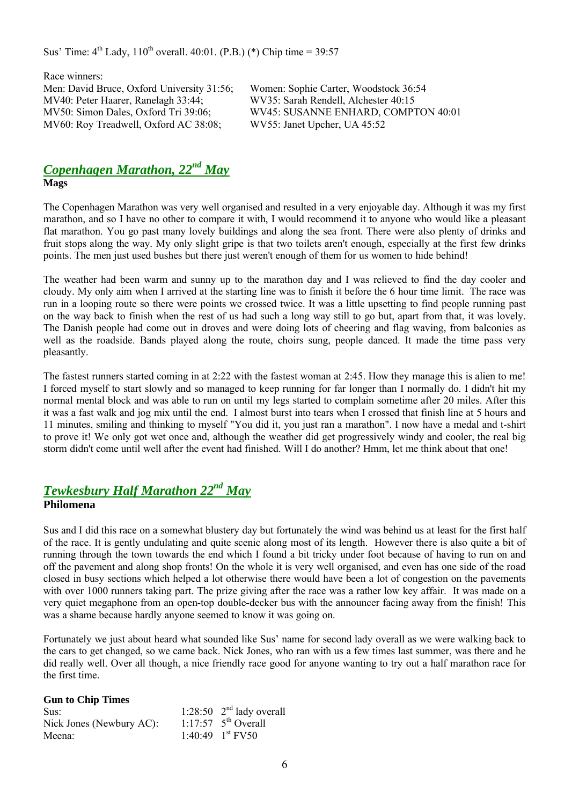Sus' Time:  $4^{th}$  Lady,  $110^{th}$  overall. 40:01. (P.B.) (\*) Chip time = 39:57

Race winners: Men: David Bruce, Oxford University 31:56; Women: Sophie Carter, Woodstock 36:54 MV40: Peter Haarer, Ranelagh 33:44; WV35: Sarah Rendell, Alchester 40:15 MV60: Roy Treadwell, Oxford AC 38:08; WV55: Janet Upcher, UA 45:52

MV50: Simon Dales, Oxford Tri 39:06; WV45: SUSANNE ENHARD, COMPTON 40:01

## *Copenhagen Marathon, 22nd May* **Mags**

The Copenhagen Marathon was very well organised and resulted in a very enjoyable day. Although it was my first marathon, and so I have no other to compare it with, I would recommend it to anyone who would like a pleasant flat marathon. You go past many lovely buildings and along the sea front. There were also plenty of drinks and fruit stops along the way. My only slight gripe is that two toilets aren't enough, especially at the first few drinks points. The men just used bushes but there just weren't enough of them for us women to hide behind!

The weather had been warm and sunny up to the marathon day and I was relieved to find the day cooler and cloudy. My only aim when I arrived at the starting line was to finish it before the 6 hour time limit. The race was run in a looping route so there were points we crossed twice. It was a little upsetting to find people running past on the way back to finish when the rest of us had such a long way still to go but, apart from that, it was lovely. The Danish people had come out in droves and were doing lots of cheering and flag waving, from balconies as well as the roadside. Bands played along the route, choirs sung, people danced. It made the time pass very pleasantly.

The fastest runners started coming in at 2:22 with the fastest woman at 2:45. How they manage this is alien to me! I forced myself to start slowly and so managed to keep running for far longer than I normally do. I didn't hit my normal mental block and was able to run on until my legs started to complain sometime after 20 miles. After this it was a fast walk and jog mix until the end. I almost burst into tears when I crossed that finish line at 5 hours and 11 minutes, smiling and thinking to myself "You did it, you just ran a marathon". I now have a medal and t-shirt to prove it! We only got wet once and, although the weather did get progressively windy and cooler, the real big storm didn't come until well after the event had finished. Will I do another? Hmm, let me think about that one!

# *Tewkesbury Half Marathon 22nd May*

#### **Philomena**

Sus and I did this race on a somewhat blustery day but fortunately the wind was behind us at least for the first half of the race. It is gently undulating and quite scenic along most of its length. However there is also quite a bit of running through the town towards the end which I found a bit tricky under foot because of having to run on and off the pavement and along shop fronts! On the whole it is very well organised, and even has one side of the road closed in busy sections which helped a lot otherwise there would have been a lot of congestion on the pavements with over 1000 runners taking part. The prize giving after the race was a rather low key affair. It was made on a very quiet megaphone from an open-top double-decker bus with the announcer facing away from the finish! This was a shame because hardly anyone seemed to know it was going on.

Fortunately we just about heard what sounded like Sus' name for second lady overall as we were walking back to the cars to get changed, so we came back. Nick Jones, who ran with us a few times last summer, was there and he did really well. Over all though, a nice friendly race good for anyone wanting to try out a half marathon race for the first time.

#### **Gun to Chip Times**

| Sus:                     | 1:28:50 $2nd$ lady overall      |
|--------------------------|---------------------------------|
| Nick Jones (Newbury AC): | 1:17:57 $5^{\text{th}}$ Overall |
| Meena:                   | 1:40:49 $1^{\text{st}}$ FV50    |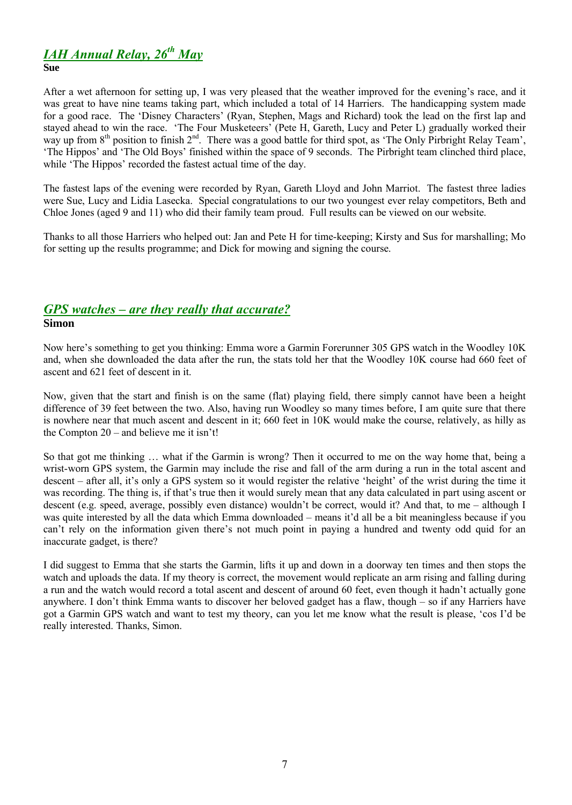# *IAH Annual Relay, 26th May*

#### **Sue**

After a wet afternoon for setting up, I was very pleased that the weather improved for the evening's race, and it was great to have nine teams taking part, which included a total of 14 Harriers. The handicapping system made for a good race. The 'Disney Characters' (Ryan, Stephen, Mags and Richard) took the lead on the first lap and stayed ahead to win the race. 'The Four Musketeers' (Pete H, Gareth, Lucy and Peter L) gradually worked their way up from 8<sup>th</sup> position to finish 2<sup>nd</sup>. There was a good battle for third spot, as 'The Only Pirbright Relay Team', 'The Hippos' and 'The Old Boys' finished within the space of 9 seconds. The Pirbright team clinched third place, while 'The Hippos' recorded the fastest actual time of the day.

The fastest laps of the evening were recorded by Ryan, Gareth Lloyd and John Marriot. The fastest three ladies were Sue, Lucy and Lidia Lasecka. Special congratulations to our two youngest ever relay competitors, Beth and Chloe Jones (aged 9 and 11) who did their family team proud. Full results can be viewed on our website.

Thanks to all those Harriers who helped out: Jan and Pete H for time-keeping; Kirsty and Sus for marshalling; Mo for setting up the results programme; and Dick for mowing and signing the course.

## *GPS watches – are they really that accurate?* **Simon**

Now here's something to get you thinking: Emma wore a Garmin Forerunner 305 GPS watch in the Woodley 10K and, when she downloaded the data after the run, the stats told her that the Woodley 10K course had 660 feet of ascent and 621 feet of descent in it.

Now, given that the start and finish is on the same (flat) playing field, there simply cannot have been a height difference of 39 feet between the two. Also, having run Woodley so many times before, I am quite sure that there is nowhere near that much ascent and descent in it; 660 feet in 10K would make the course, relatively, as hilly as the Compton 20 – and believe me it isn't!

So that got me thinking … what if the Garmin is wrong? Then it occurred to me on the way home that, being a wrist-worn GPS system, the Garmin may include the rise and fall of the arm during a run in the total ascent and descent – after all, it's only a GPS system so it would register the relative 'height' of the wrist during the time it was recording. The thing is, if that's true then it would surely mean that any data calculated in part using ascent or descent (e.g. speed, average, possibly even distance) wouldn't be correct, would it? And that, to me – although I was quite interested by all the data which Emma downloaded – means it'd all be a bit meaningless because if you can't rely on the information given there's not much point in paying a hundred and twenty odd quid for an inaccurate gadget, is there?

I did suggest to Emma that she starts the Garmin, lifts it up and down in a doorway ten times and then stops the watch and uploads the data. If my theory is correct, the movement would replicate an arm rising and falling during a run and the watch would record a total ascent and descent of around 60 feet, even though it hadn't actually gone anywhere. I don't think Emma wants to discover her beloved gadget has a flaw, though – so if any Harriers have got a Garmin GPS watch and want to test my theory, can you let me know what the result is please, 'cos I'd be really interested. Thanks, Simon.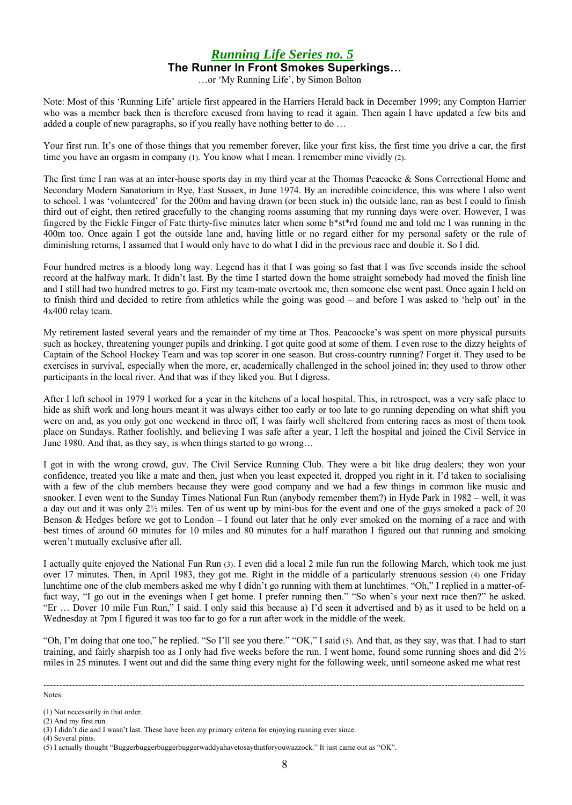### *Running Life Series no. 5* **The Runner In Front Smokes Superkings…**

…or 'My Running Life', by Simon Bolton

Note: Most of this 'Running Life' article first appeared in the Harriers Herald back in December 1999; any Compton Harrier who was a member back then is therefore excused from having to read it again. Then again I have updated a few bits and added a couple of new paragraphs, so if you really have nothing better to do ...

Your first run. It's one of those things that you remember forever, like your first kiss, the first time you drive a car, the first time you have an orgasm in company (1). You know what I mean. I remember mine vividly (2).

The first time I ran was at an inter-house sports day in my third year at the Thomas Peacocke & Sons Correctional Home and Secondary Modern Sanatorium in Rye, East Sussex, in June 1974. By an incredible coincidence, this was where I also went to school. I was 'volunteered' for the 200m and having drawn (or been stuck in) the outside lane, ran as best I could to finish third out of eight, then retired gracefully to the changing rooms assuming that my running days were over. However, I was fingered by the Fickle Finger of Fate thirty-five minutes later when some b\*st\*rd found me and told me I was running in the 400m too. Once again I got the outside lane and, having little or no regard either for my personal safety or the rule of diminishing returns, I assumed that I would only have to do what I did in the previous race and double it. So I did.

Four hundred metres is a bloody long way. Legend has it that I was going so fast that I was five seconds inside the school record at the halfway mark. It didn't last. By the time I started down the home straight somebody had moved the finish line and I still had two hundred metres to go. First my team-mate overtook me, then someone else went past. Once again I held on to finish third and decided to retire from athletics while the going was good – and before I was asked to 'help out' in the 4x400 relay team.

My retirement lasted several years and the remainder of my time at Thos. Peacoocke's was spent on more physical pursuits such as hockey, threatening younger pupils and drinking. I got quite good at some of them. I even rose to the dizzy heights of Captain of the School Hockey Team and was top scorer in one season. But cross-country running? Forget it. They used to be exercises in survival, especially when the more, er, academically challenged in the school joined in; they used to throw other participants in the local river. And that was if they liked you. But I digress.

After I left school in 1979 I worked for a year in the kitchens of a local hospital. This, in retrospect, was a very safe place to hide as shift work and long hours meant it was always either too early or too late to go running depending on what shift you were on and, as you only got one weekend in three off, I was fairly well sheltered from entering races as most of them took place on Sundays. Rather foolishly, and believing I was safe after a year, I left the hospital and joined the Civil Service in June 1980. And that, as they say, is when things started to go wrong…

I got in with the wrong crowd, guv. The Civil Service Running Club. They were a bit like drug dealers; they won your confidence, treated you like a mate and then, just when you least expected it, dropped you right in it. I'd taken to socialising with a few of the club members because they were good company and we had a few things in common like music and snooker. I even went to the Sunday Times National Fun Run (anybody remember them?) in Hyde Park in 1982 – well, it was a day out and it was only  $2\frac{1}{2}$  miles. Ten of us went up by mini-bus for the event and one of the guys smoked a pack of 20 Benson & Hedges before we got to London – I found out later that he only ever smoked on the morning of a race and with best times of around 60 minutes for 10 miles and 80 minutes for a half marathon I figured out that running and smoking weren't mutually exclusive after all.

I actually quite enjoyed the National Fun Run (3). I even did a local 2 mile fun run the following March, which took me just over 17 minutes. Then, in April 1983, they got me. Right in the middle of a particularly strenuous session (4) one Friday lunchtime one of the club members asked me why I didn't go running with them at lunchtimes. "Oh," I replied in a matter-offact way, "I go out in the evenings when I get home. I prefer running then." "So when's your next race then?" he asked. "Er … Dover 10 mile Fun Run," I said. I only said this because a) I'd seen it advertised and b) as it used to be held on a Wednesday at 7pm I figured it was too far to go for a run after work in the middle of the week.

"Oh, I'm doing that one too," he replied. "So I'll see you there." "OK," I said (5). And that, as they say, was that. I had to start training, and fairly sharpish too as I only had five weeks before the run. I went home, found some running shoes and did  $2\frac{1}{2}$ miles in 25 minutes. I went out and did the same thing every night for the following week, until someone asked me what rest

-------------------------------------------------------------------------------------------------------------------------------------------------------

Notes:

(2) And my first run.

(4) Several pints.

<sup>(1)</sup> Not necessarily in that order.

<sup>(3)</sup> I didn't die and I wasn't last. These have been my primary criteria for enjoying running ever since.

<sup>(5)</sup> I actually thought "Buggerbuggerbuggerbuggerwaddyahavetosaythatforyouwazzock." It just came out as "OK".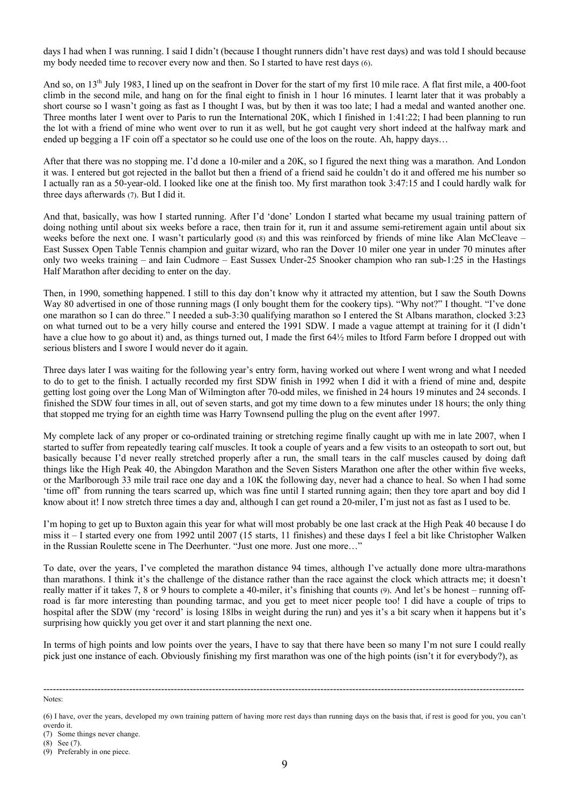days I had when I was running. I said I didn't (because I thought runners didn't have rest days) and was told I should because my body needed time to recover every now and then. So I started to have rest days (6).

And so, on  $13<sup>th</sup>$  July 1983. I lined up on the seafront in Dover for the start of my first 10 mile race. A flat first mile, a 400-foot climb in the second mile, and hang on for the final eight to finish in 1 hour 16 minutes. I learnt later that it was probably a short course so I wasn't going as fast as I thought I was, but by then it was too late; I had a medal and wanted another one. Three months later I went over to Paris to run the International 20K, which I finished in 1:41:22; I had been planning to run the lot with a friend of mine who went over to run it as well, but he got caught very short indeed at the halfway mark and ended up begging a 1F coin off a spectator so he could use one of the loos on the route. Ah, happy days…

After that there was no stopping me. I'd done a 10-miler and a 20K, so I figured the next thing was a marathon. And London it was. I entered but got rejected in the ballot but then a friend of a friend said he couldn't do it and offered me his number so I actually ran as a 50-year-old. I looked like one at the finish too. My first marathon took 3:47:15 and I could hardly walk for three days afterwards (7). But I did it.

And that, basically, was how I started running. After I'd 'done' London I started what became my usual training pattern of doing nothing until about six weeks before a race, then train for it, run it and assume semi-retirement again until about six weeks before the next one. I wasn't particularly good (8) and this was reinforced by friends of mine like Alan McCleave – East Sussex Open Table Tennis champion and guitar wizard, who ran the Dover 10 miler one year in under 70 minutes after only two weeks training – and Iain Cudmore – East Sussex Under-25 Snooker champion who ran sub-1:25 in the Hastings Half Marathon after deciding to enter on the day.

Then, in 1990, something happened. I still to this day don't know why it attracted my attention, but I saw the South Downs Way 80 advertised in one of those running mags (I only bought them for the cookery tips). "Why not?" I thought. "I've done one marathon so I can do three." I needed a sub-3:30 qualifying marathon so I entered the St Albans marathon, clocked 3:23 on what turned out to be a very hilly course and entered the 1991 SDW. I made a vague attempt at training for it (I didn't have a clue how to go about it) and, as things turned out, I made the first 64 $\frac{1}{2}$  miles to Itford Farm before I dropped out with serious blisters and I swore I would never do it again.

Three days later I was waiting for the following year's entry form, having worked out where I went wrong and what I needed to do to get to the finish. I actually recorded my first SDW finish in 1992 when I did it with a friend of mine and, despite getting lost going over the Long Man of Wilmington after 70-odd miles, we finished in 24 hours 19 minutes and 24 seconds. I finished the SDW four times in all, out of seven starts, and got my time down to a few minutes under 18 hours; the only thing that stopped me trying for an eighth time was Harry Townsend pulling the plug on the event after 1997.

My complete lack of any proper or co-ordinated training or stretching regime finally caught up with me in late 2007, when I started to suffer from repeatedly tearing calf muscles. It took a couple of years and a few visits to an osteopath to sort out, but basically because I'd never really stretched properly after a run, the small tears in the calf muscles caused by doing daft things like the High Peak 40, the Abingdon Marathon and the Seven Sisters Marathon one after the other within five weeks, or the Marlborough 33 mile trail race one day and a 10K the following day, never had a chance to heal. So when I had some 'time off' from running the tears scarred up, which was fine until I started running again; then they tore apart and boy did I know about it! I now stretch three times a day and, although I can get round a 20-miler, I'm just not as fast as I used to be.

I'm hoping to get up to Buxton again this year for what will most probably be one last crack at the High Peak 40 because I do miss it – I started every one from 1992 until 2007 (15 starts, 11 finishes) and these days I feel a bit like Christopher Walken in the Russian Roulette scene in The Deerhunter. "Just one more. Just one more…"

To date, over the years, I've completed the marathon distance 94 times, although I've actually done more ultra-marathons than marathons. I think it's the challenge of the distance rather than the race against the clock which attracts me; it doesn't really matter if it takes 7, 8 or 9 hours to complete a 40-miler, it's finishing that counts (9). And let's be honest – running offroad is far more interesting than pounding tarmac, and you get to meet nicer people too! I did have a couple of trips to hospital after the SDW (my 'record' is losing 18lbs in weight during the run) and yes it's a bit scary when it happens but it's surprising how quickly you get over it and start planning the next one.

In terms of high points and low points over the years, I have to say that there have been so many I'm not sure I could really pick just one instance of each. Obviously finishing my first marathon was one of the high points (isn't it for everybody?), as

Notes:

-------------------------------------------------------------------------------------------------------------------------------------------------------

overdo it.

(7) Some things never change.

(8) See (7).

<sup>(6)</sup> I have, over the years, developed my own training pattern of having more rest days than running days on the basis that, if rest is good for you, you can't

<sup>(9)</sup> Preferably in one piece.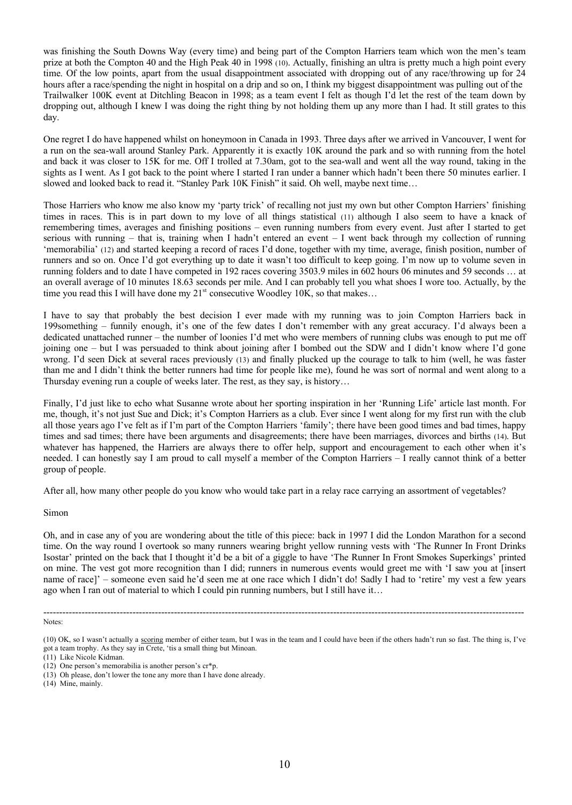was finishing the South Downs Way (every time) and being part of the Compton Harriers team which won the men's team prize at both the Compton 40 and the High Peak 40 in 1998 (10). Actually, finishing an ultra is pretty much a high point every time. Of the low points, apart from the usual disappointment associated with dropping out of any race/throwing up for 24 hours after a race/spending the night in hospital on a drip and so on, I think my biggest disappointment was pulling out of the Trailwalker 100K event at Ditchling Beacon in 1998; as a team event I felt as though I'd let the rest of the team down by dropping out, although I knew I was doing the right thing by not holding them up any more than I had. It still grates to this day.

One regret I do have happened whilst on honeymoon in Canada in 1993. Three days after we arrived in Vancouver, I went for a run on the sea-wall around Stanley Park. Apparently it is exactly 10K around the park and so with running from the hotel and back it was closer to 15K for me. Off I trolled at 7.30am, got to the sea-wall and went all the way round, taking in the sights as I went. As I got back to the point where I started I ran under a banner which hadn't been there 50 minutes earlier. I slowed and looked back to read it. "Stanley Park 10K Finish" it said. Oh well, maybe next time…

Those Harriers who know me also know my 'party trick' of recalling not just my own but other Compton Harriers' finishing times in races. This is in part down to my love of all things statistical (11) although I also seem to have a knack of remembering times, averages and finishing positions – even running numbers from every event. Just after I started to get serious with running – that is, training when I hadn't entered an event  $-$  I went back through my collection of running 'memorabilia' (12) and started keeping a record of races I'd done, together with my time, average, finish position, number of runners and so on. Once I'd got everything up to date it wasn't too difficult to keep going. I'm now up to volume seven in running folders and to date I have competed in 192 races covering 3503.9 miles in 602 hours 06 minutes and 59 seconds … at an overall average of 10 minutes 18.63 seconds per mile. And I can probably tell you what shoes I wore too. Actually, by the time you read this I will have done my  $21<sup>st</sup>$  consecutive Woodley 10K, so that makes...

I have to say that probably the best decision I ever made with my running was to join Compton Harriers back in 199something – funnily enough, it's one of the few dates I don't remember with any great accuracy. I'd always been a dedicated unattached runner – the number of loonies I'd met who were members of running clubs was enough to put me off joining one – but I was persuaded to think about joining after I bombed out the SDW and I didn't know where I'd gone wrong. I'd seen Dick at several races previously (13) and finally plucked up the courage to talk to him (well, he was faster than me and I didn't think the better runners had time for people like me), found he was sort of normal and went along to a Thursday evening run a couple of weeks later. The rest, as they say, is history…

Finally, I'd just like to echo what Susanne wrote about her sporting inspiration in her 'Running Life' article last month. For me, though, it's not just Sue and Dick; it's Compton Harriers as a club. Ever since I went along for my first run with the club all those years ago I've felt as if I'm part of the Compton Harriers 'family'; there have been good times and bad times, happy times and sad times; there have been arguments and disagreements; there have been marriages, divorces and births (14). But whatever has happened, the Harriers are always there to offer help, support and encouragement to each other when it's needed. I can honestly say I am proud to call myself a member of the Compton Harriers – I really cannot think of a better group of people.

After all, how many other people do you know who would take part in a relay race carrying an assortment of vegetables?

#### Simon

Oh, and in case any of you are wondering about the title of this piece: back in 1997 I did the London Marathon for a second time. On the way round I overtook so many runners wearing bright yellow running vests with 'The Runner In Front Drinks Isostar' printed on the back that I thought it'd be a bit of a giggle to have 'The Runner In Front Smokes Superkings' printed on mine. The vest got more recognition than I did; runners in numerous events would greet me with 'I saw you at [insert name of race]' – someone even said he'd seen me at one race which I didn't do! Sadly I had to 'retire' my vest a few years ago when I ran out of material to which I could pin running numbers, but I still have it…

-------------------------------------------------------------------------------------------------------------------------------------------------------

Notes:

<sup>(10)</sup> OK, so I wasn't actually a scoring member of either team, but I was in the team and I could have been if the others hadn't run so fast. The thing is, I've got a team trophy. As they say in Crete, 'tis a small thing but Minoan.

<sup>(11)</sup> Like Nicole Kidman.

<sup>(12)</sup> One person's memorabilia is another person's cr\*p.

<sup>(13)</sup> Oh please, don't lower the tone any more than I have done already.

<sup>(14)</sup> Mine, mainly.